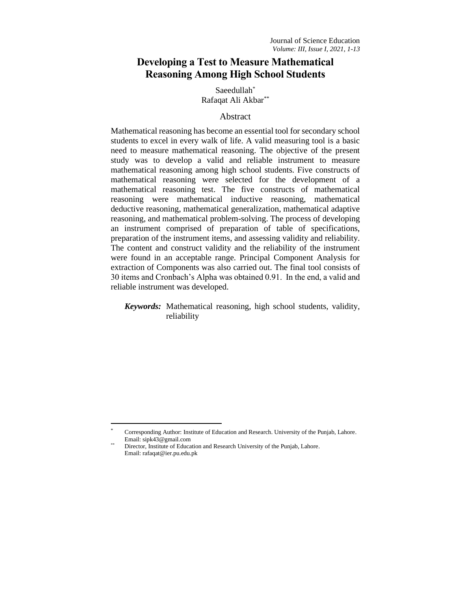# **Developing a Test to Measure Mathematical Reasoning Among High School Students**

Saeedullah\* Rafaqat Ali Akbar\*\*

## Abstract

Mathematical reasoning has become an essential tool for secondary school students to excel in every walk of life. A valid measuring tool is a basic need to measure mathematical reasoning. The objective of the present study was to develop a valid and reliable instrument to measure mathematical reasoning among high school students. Five constructs of mathematical reasoning were selected for the development of a mathematical reasoning test. The five constructs of mathematical reasoning were mathematical inductive reasoning, mathematical deductive reasoning, mathematical generalization, mathematical adaptive reasoning, and mathematical problem-solving. The process of developing an instrument comprised of preparation of table of specifications, preparation of the instrument items, and assessing validity and reliability. The content and construct validity and the reliability of the instrument were found in an acceptable range. Principal Component Analysis for extraction of Components was also carried out. The final tool consists of 30 items and Cronbach's Alpha was obtained 0.91. In the end, a valid and reliable instrument was developed.

*Keywords:* Mathematical reasoning, high school students, validity, reliability

Corresponding Author: Institute of Education and Research. University of the Punjab, Lahore. Email: sipk43@gmail.com

Director, Institute of Education and Research University of the Punjab, Lahore. Email[: rafaqat@ier.pu.edu.pk](mailto:rafaqat@ier.pu.edu.pk)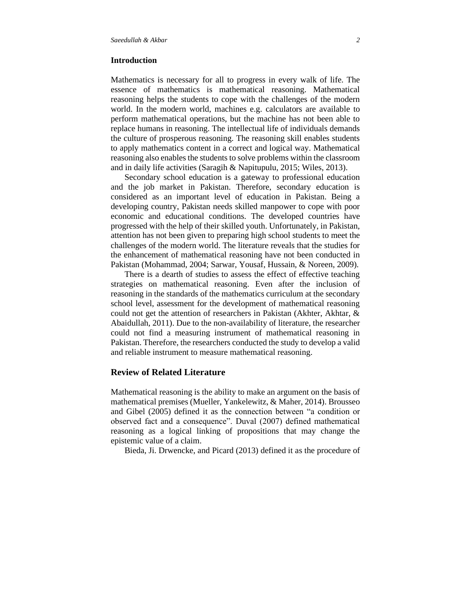#### **Introduction**

Mathematics is necessary for all to progress in every walk of life. The essence of mathematics is mathematical reasoning. Mathematical reasoning helps the students to cope with the challenges of the modern world. In the modern world, machines e.g. calculators are available to perform mathematical operations, but the machine has not been able to replace humans in reasoning. The intellectual life of individuals demands the culture of prosperous reasoning. The reasoning skill enables students to apply mathematics content in a correct and logical way. Mathematical reasoning also enables the students to solve problems within the classroom and in daily life activities (Saragih & Napitupulu, 2015; Wiles, 2013).

Secondary school education is a gateway to professional education and the job market in Pakistan. Therefore, secondary education is considered as an important level of education in Pakistan. Being a developing country, Pakistan needs skilled manpower to cope with poor economic and educational conditions. The developed countries have progressed with the help of their skilled youth. Unfortunately, in Pakistan, attention has not been given to preparing high school students to meet the challenges of the modern world. The literature reveals that the studies for the enhancement of mathematical reasoning have not been conducted in Pakistan (Mohammad, 2004; Sarwar, Yousaf, Hussain, & Noreen, 2009).

There is a dearth of studies to assess the effect of effective teaching strategies on mathematical reasoning. Even after the inclusion of reasoning in the standards of the mathematics curriculum at the secondary school level, assessment for the development of mathematical reasoning could not get the attention of researchers in Pakistan (Akhter, Akhtar, & Abaidullah, 2011). Due to the non-availability of literature, the researcher could not find a measuring instrument of mathematical reasoning in Pakistan. Therefore, the researchers conducted the study to develop a valid and reliable instrument to measure mathematical reasoning.

## **Review of Related Literature**

Mathematical reasoning is the ability to make an argument on the basis of mathematical premises (Mueller, Yankelewitz, & Maher, 2014). Brousseo and Gibel (2005) defined it as the connection between "a condition or observed fact and a consequence". Duval (2007) defined mathematical reasoning as a logical linking of propositions that may change the epistemic value of a claim.

Bieda, Ji. Drwencke, and Picard (2013) defined it as the procedure of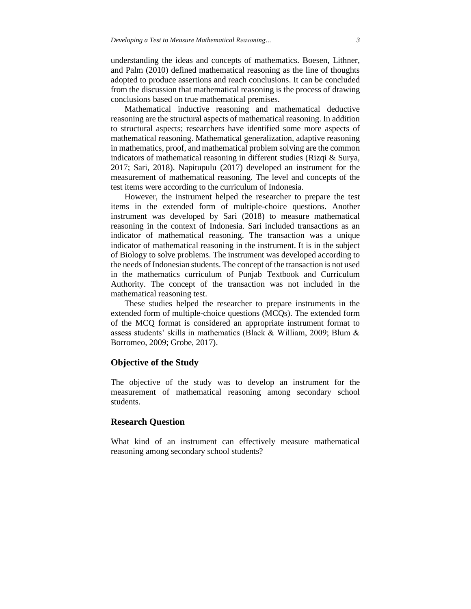understanding the ideas and concepts of mathematics. Boesen, Lithner, and Palm (2010) defined mathematical reasoning as the line of thoughts adopted to produce assertions and reach conclusions. It can be concluded from the discussion that mathematical reasoning is the process of drawing conclusions based on true mathematical premises.

Mathematical inductive reasoning and mathematical deductive reasoning are the structural aspects of mathematical reasoning. In addition to structural aspects; researchers have identified some more aspects of mathematical reasoning. Mathematical generalization, adaptive reasoning in mathematics, proof, and mathematical problem solving are the common indicators of mathematical reasoning in different studies (Rizqi  $\&$  Surya, 2017; Sari, 2018). Napitupulu (2017) developed an instrument for the measurement of mathematical reasoning. The level and concepts of the test items were according to the curriculum of Indonesia.

However, the instrument helped the researcher to prepare the test items in the extended form of multiple-choice questions. Another instrument was developed by Sari (2018) to measure mathematical reasoning in the context of Indonesia. Sari included transactions as an indicator of mathematical reasoning. The transaction was a unique indicator of mathematical reasoning in the instrument. It is in the subject of Biology to solve problems. The instrument was developed according to the needs of Indonesian students. The concept of the transaction is not used in the mathematics curriculum of Punjab Textbook and Curriculum Authority. The concept of the transaction was not included in the mathematical reasoning test.

These studies helped the researcher to prepare instruments in the extended form of multiple-choice questions (MCQs). The extended form of the MCQ format is considered an appropriate instrument format to assess students' skills in mathematics (Black & William, 2009; Blum & Borromeo, 2009; Grobe, 2017).

#### **Objective of the Study**

The objective of the study was to develop an instrument for the measurement of mathematical reasoning among secondary school students.

#### **Research Question**

What kind of an instrument can effectively measure mathematical reasoning among secondary school students?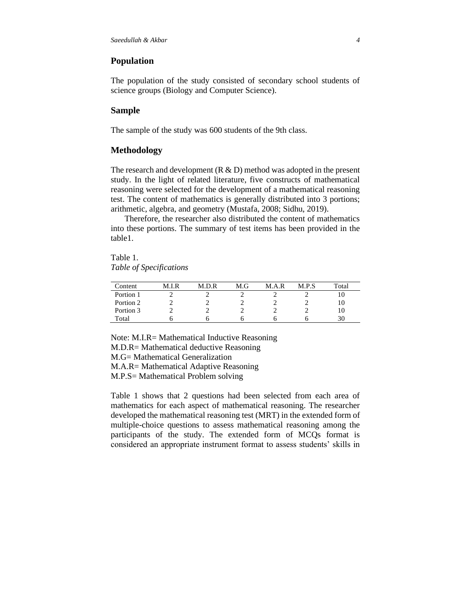## **Population**

The population of the study consisted of secondary school students of science groups (Biology and Computer Science).

#### **Sample**

The sample of the study was 600 students of the 9th class.

## **Methodology**

The research and development  $(R & D)$  method was adopted in the present study. In the light of related literature, five constructs of mathematical reasoning were selected for the development of a mathematical reasoning test. The content of mathematics is generally distributed into 3 portions; arithmetic, algebra, and geometry (Mustafa, 2008; Sidhu, 2019).

Therefore, the researcher also distributed the content of mathematics into these portions. The summary of test items has been provided in the table1.

Table 1. *Table of Specifications*

| Content   | .I.R<br>м | M.D.R | M.G | M.A.R | M.P.S | Total |
|-----------|-----------|-------|-----|-------|-------|-------|
| Portion 1 |           |       |     |       |       |       |
| Portion 2 | -         |       |     |       |       | 1U.   |
| Portion 3 |           |       |     |       |       | ΙU    |
| Total     |           |       |     |       |       | 30    |

Note: M.I.R= Mathematical Inductive Reasoning M.D.R= Mathematical deductive Reasoning M.G= Mathematical Generalization M.A.R= Mathematical Adaptive Reasoning M.P.S= Mathematical Problem solving

Table 1 shows that 2 questions had been selected from each area of mathematics for each aspect of mathematical reasoning. The researcher developed the mathematical reasoning test (MRT) in the extended form of multiple-choice questions to assess mathematical reasoning among the participants of the study. The extended form of MCQs format is considered an appropriate instrument format to assess students' skills in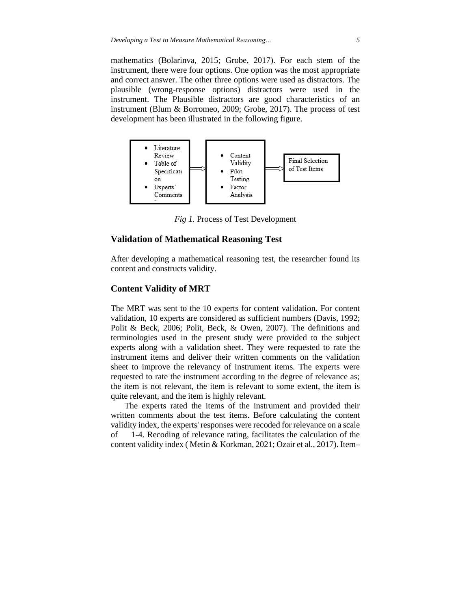mathematics (Bolarinva, 2015; Grobe, 2017). For each stem of the instrument, there were four options. One option was the most appropriate and correct answer. The other three options were used as distractors. The plausible (wrong-response options) distractors were used in the instrument. The Plausible distractors are good characteristics of an instrument (Blum & Borromeo, 2009; Grobe, 2017). The process of test development has been illustrated in the following figure.



*Fig 1.* Process of Test Development

#### **Validation of Mathematical Reasoning Test**

After developing a mathematical reasoning test, the researcher found its content and constructs validity.

## **Content Validity of MRT**

The MRT was sent to the 10 experts for content validation. For content validation, 10 experts are considered as sufficient numbers (Davis, 1992; Polit & Beck, 2006; Polit, Beck, & Owen, 2007). The definitions and terminologies used in the present study were provided to the subject experts along with a validation sheet. They were requested to rate the instrument items and deliver their written comments on the validation sheet to improve the relevancy of instrument items. The experts were requested to rate the instrument according to the degree of relevance as; the item is not relevant, the item is relevant to some extent, the item is quite relevant, and the item is highly relevant.

The experts rated the items of the instrument and provided their written comments about the test items. Before calculating the content validity index, the experts' responses were recoded for relevance on a scale of 1-4. Recoding of relevance rating, facilitates the calculation of the content validity index ( Metin & Korkman, 2021; Ozair et al., 2017). Item–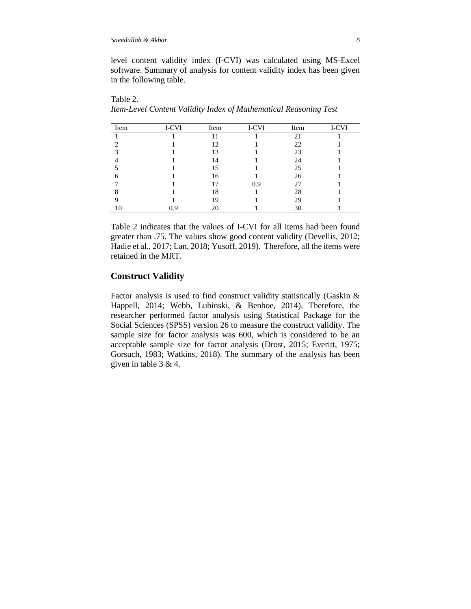level content validity index (I-CVI) was calculated using MS-Excel software. Summary of analysis for content validity index has been given in the following table.

Table 2. *Item-Level Content Validity Index of Mathematical Reasoning Test*

| Item | I-CVI | Item | I-CVI | Item | I-CVI |
|------|-------|------|-------|------|-------|
|      |       | Ιl   |       | 21   |       |
|      |       | 12   |       | 22   |       |
|      |       | 13   |       | 23   |       |
|      |       | 14   |       | 24   |       |
|      |       | 15   |       | 25   |       |
|      |       | 16   |       | 26   |       |
|      |       | 17   | 0.9   | 27   |       |
|      |       | 18   |       | 28   |       |
|      |       | 19   |       | 29   |       |
|      | 0.9   | 20   |       | 30   |       |

Table 2 indicates that the values of I-CVI for all items had been found greater than .75. The values show good content validity (Devellis, 2012; Hadie et al., 2017; Lan, 2018; Yusoff, 2019). Therefore, all the items were retained in the MRT.

## **Construct Validity**

Factor analysis is used to find construct validity statistically (Gaskin & Happell, 2014; Webb, Lubinski, & Benboe, 2014). Therefore, the researcher performed factor analysis using Statistical Package for the Social Sciences (SPSS) version 26 to measure the construct validity. The sample size for factor analysis was 600, which is considered to be an acceptable sample size for factor analysis (Drost, 2015; Everitt, 1975; Gorsuch, 1983; Watkins, 2018). The summary of the analysis has been given in table 3 & 4.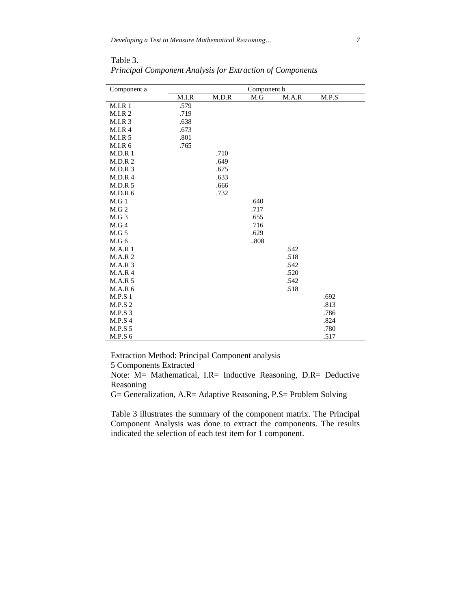| Component a        | Component b |       |      |       |       |
|--------------------|-------------|-------|------|-------|-------|
|                    | M.I.R       | M.D.R | M.G  | M.A.R | M.P.S |
| M.I.R <sub>1</sub> | .579        |       |      |       |       |
| M.I.R.2            | .719        |       |      |       |       |
| M.I.R.3            | .638        |       |      |       |       |
| M.I.R.4            | .673        |       |      |       |       |
| M.I.R.5            | .801        |       |      |       |       |
| <b>M.I.R 6</b>     | .765        |       |      |       |       |
| $M.D.R$ 1          |             | .710  |      |       |       |
| M.D.R.2            |             | .649  |      |       |       |
| M.D.R.3            |             | .675  |      |       |       |
| M.D.R.4            |             | .633  |      |       |       |
| M.D.R 5            |             | .666  |      |       |       |
| M.D.R 6            |             | .732  |      |       |       |
| M.G1               |             |       | .640 |       |       |
| M.G2               |             |       | .717 |       |       |
| M.G3               |             |       | .655 |       |       |
| M.G4               |             |       | .716 |       |       |
| M.G 5              |             |       | .629 |       |       |
| M.G6               |             |       | 808  |       |       |
| $M.A.R$ 1          |             |       |      | .542  |       |
| M.A.R.2            |             |       |      | .518  |       |
| M.A.R.3            |             |       |      | .542  |       |
| M.A.R.4            |             |       |      | .520  |       |
| <b>M.A.R 5</b>     |             |       |      | .542  |       |
| M.A.R6             |             |       |      | .518  |       |
| <b>M.P.S 1</b>     |             |       |      |       | .692  |
| M.P.S.2            |             |       |      |       | .813  |
| <b>M.P.S 3</b>     |             |       |      |       | .786  |
| M.P.S.4            |             |       |      |       | .824  |
| <b>M.P.S 5</b>     |             |       |      |       | .780  |
| M.P.S 6            |             |       |      |       | .517  |

Table 3. *Principal Component Analysis for Extraction of Components*

Extraction Method: Principal Component analysis

5 Components Extracted

Note: M= Mathematical, I.R= Inductive Reasoning, D.R= Deductive Reasoning

G= Generalization, A.R= Adaptive Reasoning, P.S= Problem Solving

Table 3 illustrates the summary of the component matrix. The Principal Component Analysis was done to extract the components. The results indicated the selection of each test item for 1 component.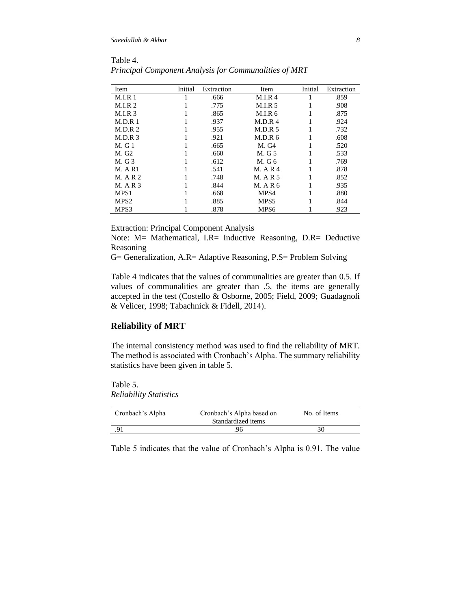| Item              | Initial | Extraction | Item     | Initial | Extraction |
|-------------------|---------|------------|----------|---------|------------|
| <b>M.I.R</b> 1    |         | .666       | M.I.R.4  |         | .859       |
| M.I.R.2           |         | .775       | M.I.R.5  |         | .908       |
| M.I.R.3           |         | .865       | M.I.R.6  |         | .875       |
| M.D.R 1           |         | .937       | M.D.R.4  |         | .924       |
| M.D.R.2           |         | .955       | M.D.R.5  |         | .732       |
| M.D.R.3           |         | .921       | M.D.R 6  |         | .608       |
| $M$ . G 1         |         | .665       | M. G4    |         | .520       |
| M. G <sub>2</sub> |         | .660       | M. G 5   |         | .533       |
| M. G.3            |         | .612       | M. G 6   |         | .769       |
| <b>M. A R1</b>    |         | .541       | M. A R 4 |         | .878       |
| M. A R 2          |         | .748       | M. A R 5 |         | .852       |
| M. A R 3          |         | .844       | M. A R 6 |         | .935       |
| MPS1              |         | .668       | MPS4     |         | .880       |
| MPS <sub>2</sub>  |         | .885       | MPS5     |         | .844       |
| MPS3              |         | .878       | MPS6     |         | .923       |

Table 4. *Principal Component Analysis for Communalities of MRT*

Extraction: Principal Component Analysis

Note: M= Mathematical, I.R= Inductive Reasoning, D.R= Deductive Reasoning

G= Generalization, A.R= Adaptive Reasoning, P.S= Problem Solving

Table 4 indicates that the values of communalities are greater than 0.5. If values of communalities are greater than .5, the items are generally accepted in the test (Costello & Osborne, 2005; Field, 2009; Guadagnoli & Velicer, 1998; Tabachnick & Fidell, 2014).

# **Reliability of MRT**

The internal consistency method was used to find the reliability of MRT. The method is associated with Cronbach's Alpha. The summary reliability statistics have been given in table 5.

Table 5. *Reliability Statistics* 

| Cronbach's Alpha | Cronbach's Alpha based on | No. of Items |
|------------------|---------------------------|--------------|
|                  | Standardized items        |              |
| .91              | .96                       | 30           |

Table 5 indicates that the value of Cronbach's Alpha is 0.91. The value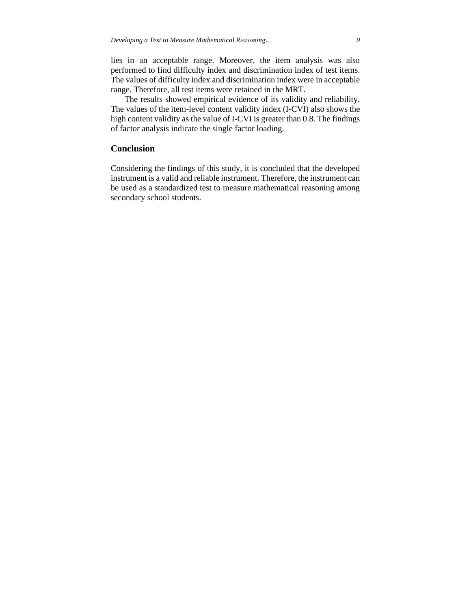lies in an acceptable range. Moreover, the item analysis was also performed to find difficulty index and discrimination index of test items. The values of difficulty index and discrimination index were in acceptable range. Therefore, all test items were retained in the MRT.

The results showed empirical evidence of its validity and reliability. The values of the item-level content validity index (I-CVI) also shows the high content validity as the value of I-CVI is greater than 0.8. The findings of factor analysis indicate the single factor loading.

## **Conclusion**

Considering the findings of this study, it is concluded that the developed instrument is a valid and reliable instrument. Therefore, the instrument can be used as a standardized test to measure mathematical reasoning among secondary school students.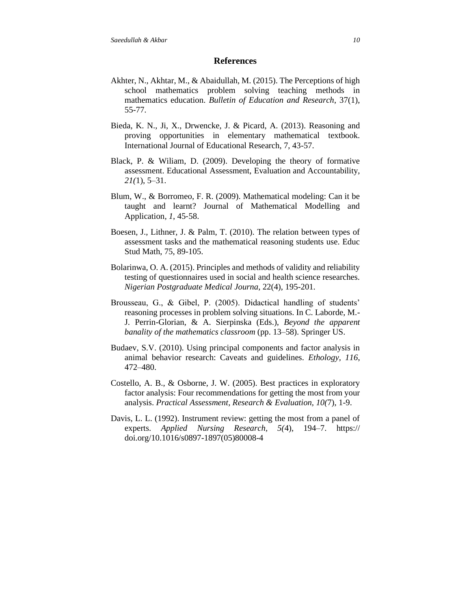#### **References**

- Akhter, N., Akhtar, M., & Abaidullah, M. (2015). The Perceptions of high school mathematics problem solving teaching methods in mathematics education. *Bulletin of Education and Research*, 37(1), 55-77.
- Bieda, K. N., Ji, X., Drwencke, J. & Picard, A. (2013). Reasoning and proving opportunities in elementary mathematical textbook. International Journal of Educational Research, 7, 43-57.
- Black, P. & Wiliam, D. (2009). Developing the theory of formative assessment. Educational Assessment, Evaluation and Accountability, *21(*1), 5–31.
- Blum, W., & Borromeo, F. R. (2009). Mathematical modeling: Can it be taught and learnt? Journal of Mathematical Modelling and Application*, 1*, 45‐58.
- Boesen, J., Lithner, J. & Palm, T. (2010). The relation between types of assessment tasks and the mathematical reasoning students use. Educ Stud Math, 75, 89-105.
- Bolarinwa, O. A. (2015). Principles and methods of validity and reliability testing of questionnaires used in social and health science researches. *Nigerian Postgraduate Medical Journa*, 22(4), 195-201.
- Brousseau, G., & Gibel, P. (2005). Didactical handling of students' reasoning processes in problem solving situations. In C. Laborde, M.- J. Perrin-Glorian, & A. Sierpinska (Eds.), *Beyond the apparent banality of the mathematics classroom* (pp. 13–58). Springer US.
- Budaev, S.V. (2010). Using principal components and factor analysis in animal behavior research: Caveats and guidelines. *Ethology, 116*, 472–480.
- Costello, A. B., & Osborne, J. W. (2005). Best practices in exploratory factor analysis: Four recommendations for getting the most from your analysis. *Practical Assessment, Research & Evaluation, 10(*7), 1-9.
- Davis, L. L. (1992). Instrument review: getting the most from a panel of experts. *Applied Nursing Research, 5(*4), 194–7. https:// doi.org/10.1016/s0897-1897(05)80008-4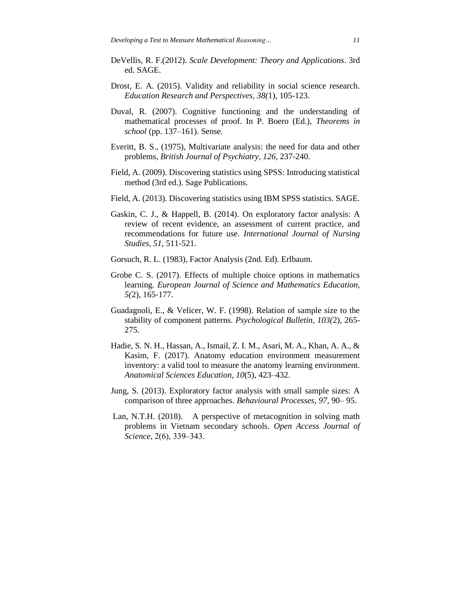- DeVellis, R. F.(2012). *Scale Development: Theory and Applications*. 3rd ed. SAGE.
- Drost, E. A. (2015). Validity and reliability in social science research. *Education Research and Perspectives, 38(*1), 105-123.
- Duval, R. (2007). Cognitive functioning and the understanding of mathematical processes of proof. In P. Boero (Ed.), *Theorems in school* (pp. 137–161). Sense.
- Everitt, B. S., (1975), Multivariate analysis: the need for data and other problems, *British Journal of Psychiatry, 126*, 237-240.
- Field, A. (2009). Discovering statistics using SPSS: Introducing statistical method (3rd ed.). Sage Publications.
- Field, A. (2013). Discovering statistics using IBM SPSS statistics. SAGE.
- Gaskin, C. J., & Happell, B. (2014). On exploratory factor analysis: A review of recent evidence, an assessment of current practice, and recommendations for future use. *International Journal of Nursing Studies, 51,* 511-521.
- Gorsuch, R. L. (1983), Factor Analysis (2nd. Ed). Erlbaum.
- Grobe C. S. (2017). Effects of multiple choice options in mathematics learning. *European Journal of Science and Mathematics Education, 5(*2), 165‐177.
- Guadagnoli, E., & Velicer, W. F. (1998). Relation of sample size to the stability of component patterns. *Psychological Bulletin, 103(*2), 265- 275.
- Hadie, S. N. H., Hassan, A., Ismail, Z. I. M., Asari, M. A., Khan, A. A., & Kasim, F. (2017). Anatomy education environment measurement inventory: a valid tool to measure the anatomy learning environment. *Anatomical Sciences Education, 10*(5), 423–432.
- Jung, S. (2013). Exploratory factor analysis with small sample sizes: A comparison of three approaches. *Behavioural Processes, 97*, 90– 95.
- Lan, N.T.H. (2018). A perspective of metacognition in solving math problems in Vietnam secondary schools. *Open Access Journal of Science*, 2(6), 339–343.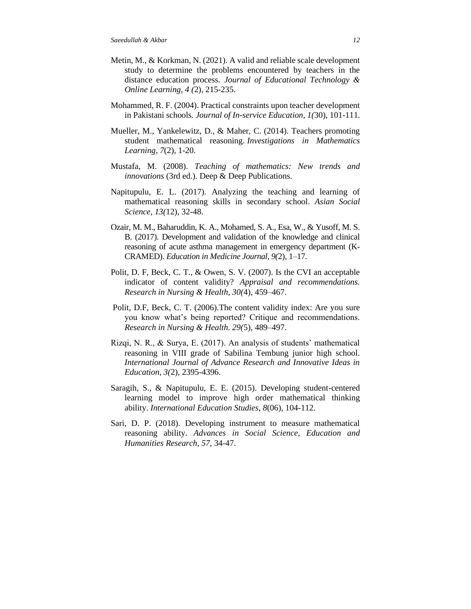- Metin, M., & Korkman, N. (2021). A valid and reliable scale development study to determine the problems encountered by teachers in the distance education process. *Journal of Educational Technology & Online Learning, 4 (*2), 215-235.
- Mohammed, R. F. (2004). Practical constraints upon teacher development in Pakistani schools*. Journal of In-service Education, 1(*30), 101-111.
- Mueller, M., Yankelewitz, D., & Maher, C. (2014). Teachers promoting student mathematical reasoning. *Investigations in Mathematics Learning*, *7*(2), 1-20.
- Mustafa, M. (2008). *Teaching of mathematics: New trends and innovations* (3rd ed.). Deep & Deep Publications.
- Napitupulu, E. L. (2017). Analyzing the teaching and learning of mathematical reasoning skills in secondary school. *Asian Social Science, 13(*12), 32-48.
- Ozair, M. M., Baharuddin, K. A., Mohamed, S. A., Esa, W., & Yusoff, M. S. B. (2017). Development and validation of the knowledge and clinical reasoning of acute asthma management in emergency department (K-CRAMED). *Education in Medicine Journal, 9(*2), 1–17.
- Polit, D. F, Beck, C. T., & Owen, S. V. (2007). Is the CVI an acceptable indicator of content validity? *Appraisal and recommendations. Research in Nursing & Health, 30(*4), 459–467.
- Polit, D.F, Beck, C. T. (2006).The content validity index: Are you sure you know what's being reported? Critique and recommendations. *Research in Nursing & Health. 29(*5), 489–497.
- Rizqi, N. R., & Surya, E. (2017). An analysis of students' mathematical reasoning in VIII grade of Sabilina Tembung junior high school. *International Journal of Advance Research and Innovative Ideas in Education, 3(*2), 2395-4396.
- Saragih, S., & Napitupulu, E. E. (2015). Developing student-centered learning model to improve high order mathematical thinking ability. *International Education Studies*, *8*(06), 104-112.
- Sari, D. P. (2018). Developing instrument to measure mathematical reasoning ability. *Advances in Social Science, Education and Humanities Research, 57*, 34-47.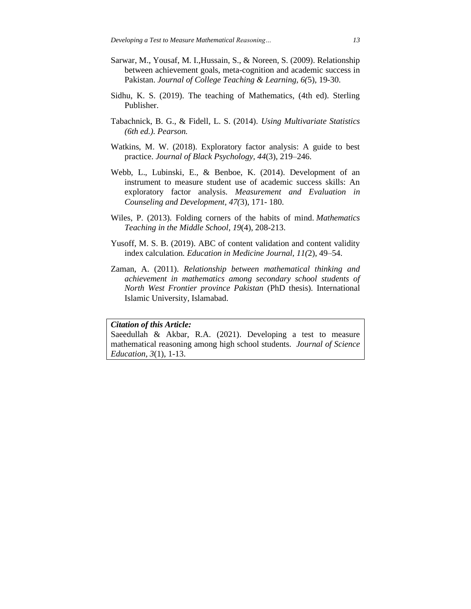- Sarwar, M., Yousaf, M. I.,Hussain, S., & Noreen, S. (2009). Relationship between achievement goals, meta-cognition and academic success in Pakistan. *Journal of College Teaching & Learning, 6(*5), 19-30.
- Sidhu, K. S. (2019). The teaching of Mathematics, (4th ed). Sterling Publisher.
- Tabachnick, B. G., & Fidell, L. S. (2014). *Using Multivariate Statistics (6th ed.). Pearson.*
- Watkins, M. W. (2018). Exploratory factor analysis: A guide to best practice. *Journal of Black Psychology, 44*(3), 219–246.
- Webb, L., Lubinski, E., & Benboe, K. (2014). Development of an instrument to measure student use of academic success skills: An exploratory factor analysis. *Measurement and Evaluation in Counseling and Development, 47(*3), 171- 180.
- Wiles, P. (2013). Folding corners of the habits of mind. *Mathematics Teaching in the Middle School*, *19*(4), 208-213.
- Yusoff, M. S. B. (2019). ABC of content validation and content validity index calculation*. Education in Medicine Journal, 11(*2), 49–54.
- Zaman, A. (2011). *Relationship between mathematical thinking and achievement in mathematics among secondary school students of North West Frontier province Pakistan* (PhD thesis). International Islamic University, Islamabad.

#### *Citation of this Article:*

Saeedullah & Akbar, R.A. (2021). Developing a test to measure mathematical reasoning among high school students. *Journal of Science Education, 3*(1), 1-13.